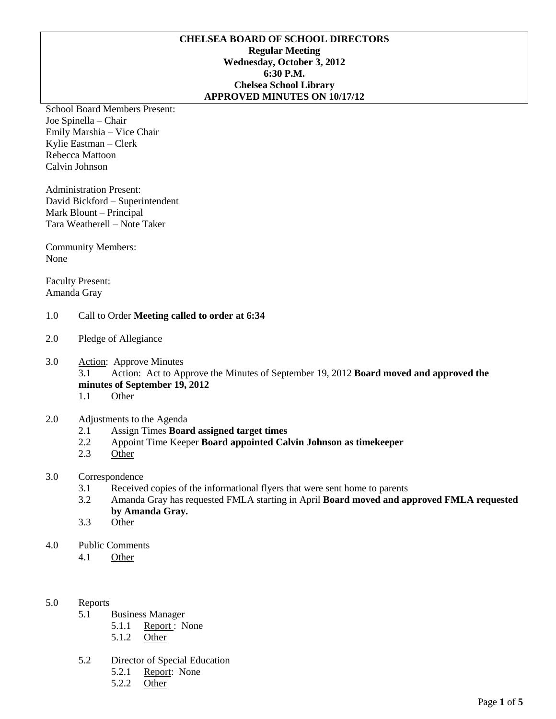# **CHELSEA BOARD OF SCHOOL DIRECTORS Regular Meeting Wednesday, October 3, 2012 6:30 P.M. Chelsea School Library APPROVED MINUTES ON 10/17/12**

School Board Members Present: Joe Spinella – Chair Emily Marshia – Vice Chair Kylie Eastman – Clerk Rebecca Mattoon Calvin Johnson

Administration Present: David Bickford – Superintendent Mark Blount – Principal Tara Weatherell – Note Taker

Community Members: None

Faculty Present: Amanda Gray

# 1.0 Call to Order **Meeting called to order at 6:34**

- 2.0 Pledge of Allegiance
- 3.0 Action: Approve Minutes

3.1 Action: Act to Approve the Minutes of September 19, 2012 **Board moved and approved the minutes of September 19, 2012**

1.1 Other

# 2.0 Adjustments to the Agenda

- 2.1 Assign Times **Board assigned target times**
- 2.2 Appoint Time Keeper **Board appointed Calvin Johnson as timekeeper**
- 2.3 Other
- 3.0 Correspondence
	- 3.1 Received copies of the informational flyers that were sent home to parents
	- 3.2 Amanda Gray has requested FMLA starting in April **Board moved and approved FMLA requested by Amanda Gray.**
	- 3.3 Other
- 4.0 Public Comments
	- 4.1 Other

# 5.0 Reports

- 5.1 Business Manager
	- 5.1.1 Report : None
		- 5.1.2 Other
- 5.2 Director of Special Education
	- 5.2.1 Report: None
	- 5.2.2 Other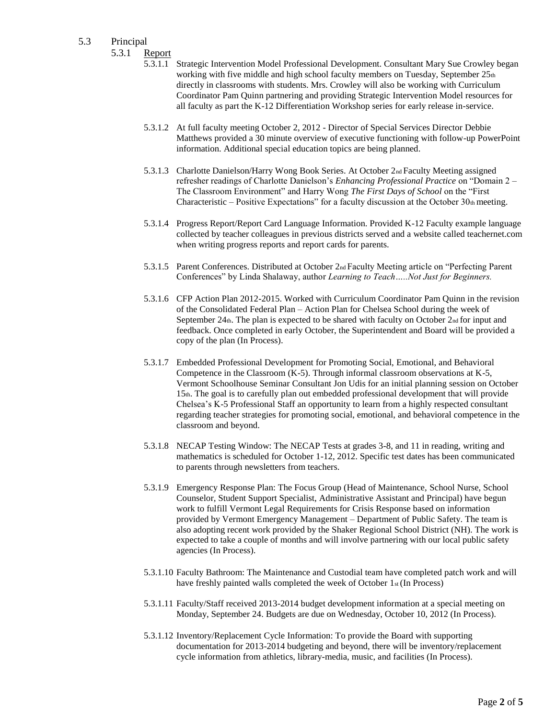- 5.3 Principal
	- 5.3.1 Report
		- 5.3.1.1 Strategic Intervention Model Professional Development. Consultant Mary Sue Crowley began working with five middle and high school faculty members on Tuesday, September 25th directly in classrooms with students. Mrs. Crowley will also be working with Curriculum Coordinator Pam Quinn partnering and providing Strategic Intervention Model resources for all faculty as part the K-12 Differentiation Workshop series for early release in-service.
		- 5.3.1.2 At full faculty meeting October 2, 2012 Director of Special Services Director Debbie Matthews provided a 30 minute overview of executive functioning with follow-up PowerPoint information. Additional special education topics are being planned.
		- 5.3.1.3 Charlotte Danielson/Harry Wong Book Series. At October 2nd Faculty Meeting assigned refresher readings of Charlotte Danielson's *Enhancing Professional Practice* on "Domain 2 – The Classroom Environment" and Harry Wong *The First Days of School* on the "First Characteristic – Positive Expectations" for a faculty discussion at the October  $30<sub>th</sub>$  meeting.
		- 5.3.1.4 Progress Report/Report Card Language Information. Provided K-12 Faculty example language collected by teacher colleagues in previous districts served and a website called teachernet.com when writing progress reports and report cards for parents.
		- 5.3.1.5 Parent Conferences. Distributed at October 2nd Faculty Meeting article on "Perfecting Parent Conferences" by Linda Shalaway, author *Learning to Teach…..Not Just for Beginners.*
		- 5.3.1.6 CFP Action Plan 2012-2015. Worked with Curriculum Coordinator Pam Quinn in the revision of the Consolidated Federal Plan – Action Plan for Chelsea School during the week of September 24th. The plan is expected to be shared with faculty on October 2nd for input and feedback. Once completed in early October, the Superintendent and Board will be provided a copy of the plan (In Process).
		- 5.3.1.7 Embedded Professional Development for Promoting Social, Emotional, and Behavioral Competence in the Classroom (K-5). Through informal classroom observations at K-5, Vermont Schoolhouse Seminar Consultant Jon Udis for an initial planning session on October 15th. The goal is to carefully plan out embedded professional development that will provide Chelsea's K-5 Professional Staff an opportunity to learn from a highly respected consultant regarding teacher strategies for promoting social, emotional, and behavioral competence in the classroom and beyond.
		- 5.3.1.8 NECAP Testing Window: The NECAP Tests at grades 3-8, and 11 in reading, writing and mathematics is scheduled for October 1-12, 2012. Specific test dates has been communicated to parents through newsletters from teachers.
		- 5.3.1.9 Emergency Response Plan: The Focus Group (Head of Maintenance, School Nurse, School Counselor, Student Support Specialist, Administrative Assistant and Principal) have begun work to fulfill Vermont Legal Requirements for Crisis Response based on information provided by Vermont Emergency Management – Department of Public Safety. The team is also adopting recent work provided by the Shaker Regional School District (NH). The work is expected to take a couple of months and will involve partnering with our local public safety agencies (In Process).
		- 5.3.1.10 Faculty Bathroom: The Maintenance and Custodial team have completed patch work and will have freshly painted walls completed the week of October 1st (In Process)
		- 5.3.1.11 Faculty/Staff received 2013-2014 budget development information at a special meeting on Monday, September 24. Budgets are due on Wednesday, October 10, 2012 (In Process).
		- 5.3.1.12 Inventory/Replacement Cycle Information: To provide the Board with supporting documentation for 2013-2014 budgeting and beyond, there will be inventory/replacement cycle information from athletics, library-media, music, and facilities (In Process).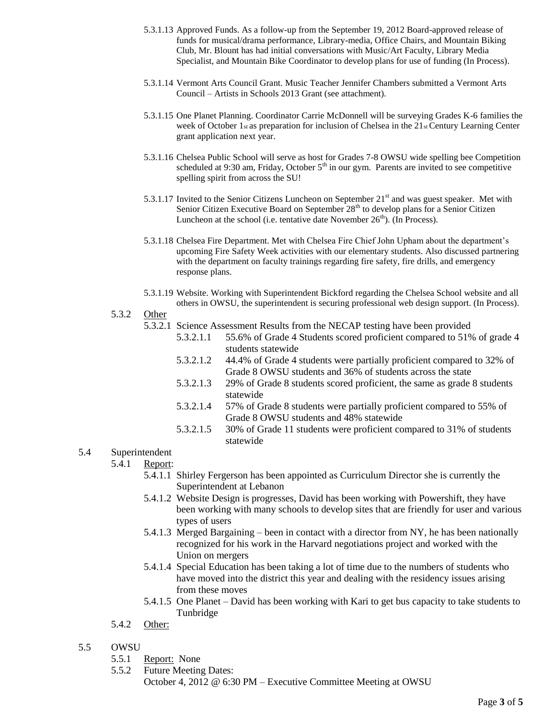- 5.3.1.13 Approved Funds. As a follow-up from the September 19, 2012 Board-approved release of funds for musical/drama performance, Library-media, Office Chairs, and Mountain Biking Club, Mr. Blount has had initial conversations with Music/Art Faculty, Library Media Specialist, and Mountain Bike Coordinator to develop plans for use of funding (In Process).
- 5.3.1.14 Vermont Arts Council Grant. Music Teacher Jennifer Chambers submitted a Vermont Arts Council – Artists in Schools 2013 Grant (see attachment).
- 5.3.1.15 One Planet Planning. Coordinator Carrie McDonnell will be surveying Grades K-6 families the week of October 1<sub>st</sub> as preparation for inclusion of Chelsea in the 21<sub>st</sub> Century Learning Center grant application next year.
- 5.3.1.16 Chelsea Public School will serve as host for Grades 7-8 OWSU wide spelling bee Competition scheduled at 9:30 am, Friday, October  $5<sup>th</sup>$  in our gym. Parents are invited to see competitive spelling spirit from across the SU!
- 5.3.1.17 Invited to the Senior Citizens Luncheon on September  $21<sup>st</sup>$  and was guest speaker. Met with Senior Citizen Executive Board on September 28<sup>th</sup> to develop plans for a Senior Citizen Luncheon at the school (i.e. tentative date November  $26<sup>th</sup>$ ). (In Process).
- 5.3.1.18 Chelsea Fire Department. Met with Chelsea Fire Chief John Upham about the department's upcoming Fire Safety Week activities with our elementary students. Also discussed partnering with the department on faculty trainings regarding fire safety, fire drills, and emergency response plans.
- 5.3.1.19 Website. Working with Superintendent Bickford regarding the Chelsea School website and all others in OWSU, the superintendent is securing professional web design support. (In Process).

#### 5.3.2 Other

5.3.2.1 Science Assessment Results from the NECAP testing have been provided

- 5.3.2.1.1 55.6% of Grade 4 Students scored proficient compared to 51% of grade 4 students statewide
- 5.3.2.1.2 44.4% of Grade 4 students were partially proficient compared to 32% of Grade 8 OWSU students and 36% of students across the state
- 5.3.2.1.3 29% of Grade 8 students scored proficient, the same as grade 8 students statewide
- 5.3.2.1.4 57% of Grade 8 students were partially proficient compared to 55% of Grade 8 OWSU students and 48% statewide
- 5.3.2.1.5 30% of Grade 11 students were proficient compared to 31% of students statewide

# 5.4 Superintendent

- 5.4.1 Report:
	- 5.4.1.1 Shirley Fergerson has been appointed as Curriculum Director she is currently the Superintendent at Lebanon
	- 5.4.1.2 Website Design is progresses, David has been working with Powershift, they have been working with many schools to develop sites that are friendly for user and various types of users
	- 5.4.1.3 Merged Bargaining been in contact with a director from NY, he has been nationally recognized for his work in the Harvard negotiations project and worked with the Union on mergers
	- 5.4.1.4 Special Education has been taking a lot of time due to the numbers of students who have moved into the district this year and dealing with the residency issues arising from these moves
	- 5.4.1.5 One Planet David has been working with Kari to get bus capacity to take students to Tunbridge
- 5.4.2 Other:

# 5.5 OWSU

- 5.5.1 Report: None
- 5.5.2 Future Meeting Dates: October 4, 2012 @ 6:30 PM – Executive Committee Meeting at OWSU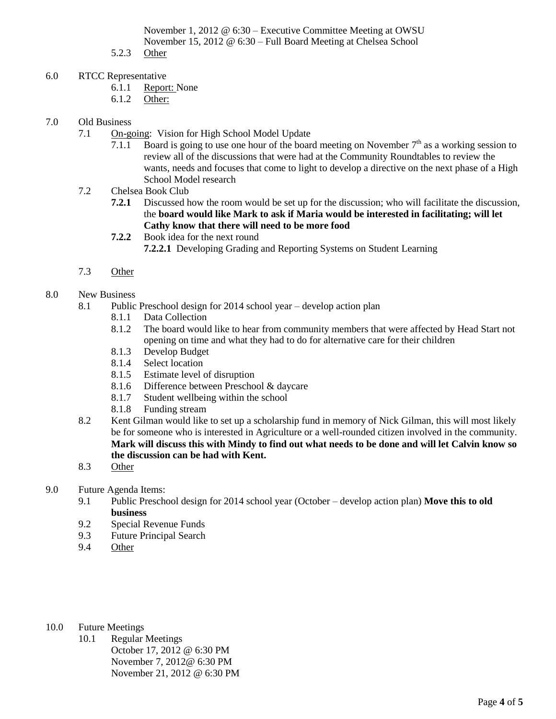November 1, 2012 @ 6:30 – Executive Committee Meeting at OWSU November 15, 2012 @ 6:30 – Full Board Meeting at Chelsea School

- 5.2.3 Other
- 6.0 RTCC Representative
	- 6.1.1 Report: None
	- 6.1.2 Other:
- 7.0 Old Business
	- 7.1 On-going: Vision for High School Model Update
		- 7.1.1 Board is going to use one hour of the board meeting on November  $7<sup>th</sup>$  as a working session to review all of the discussions that were had at the Community Roundtables to review the wants, needs and focuses that come to light to develop a directive on the next phase of a High School Model research
	- 7.2 Chelsea Book Club
		- **7.2.1** Discussed how the room would be set up for the discussion; who will facilitate the discussion, the **board would like Mark to ask if Maria would be interested in facilitating; will let Cathy know that there will need to be more food**
		- **7.2.2** Book idea for the next round **7.2.2.1** Developing Grading and Reporting Systems on Student Learning
	- 7.3 Other
- 8.0 New Business
	- 8.1 Public Preschool design for 2014 school year develop action plan
		- 8.1.1 Data Collection
		- 8.1.2 The board would like to hear from community members that were affected by Head Start not opening on time and what they had to do for alternative care for their children
		- 8.1.3 Develop Budget
		- 8.1.4 Select location
		- 8.1.5 Estimate level of disruption
		- 8.1.6 Difference between Preschool & daycare
		- 8.1.7 Student wellbeing within the school
		- 8.1.8 Funding stream
	- 8.2 Kent Gilman would like to set up a scholarship fund in memory of Nick Gilman, this will most likely be for someone who is interested in Agriculture or a well-rounded citizen involved in the community. **Mark will discuss this with Mindy to find out what needs to be done and will let Calvin know so the discussion can be had with Kent.**
	- 8.3 Other
- 9.0 Future Agenda Items:
	- 9.1 Public Preschool design for 2014 school year (October develop action plan) **Move this to old business**
	- 9.2 Special Revenue Funds
	- 9.3 Future Principal Search
	- 9.4 Other
- 10.0 Future Meetings
	- 10.1 Regular Meetings October 17, 2012 @ 6:30 PM November 7, 2012@ 6:30 PM November 21, 2012 @ 6:30 PM